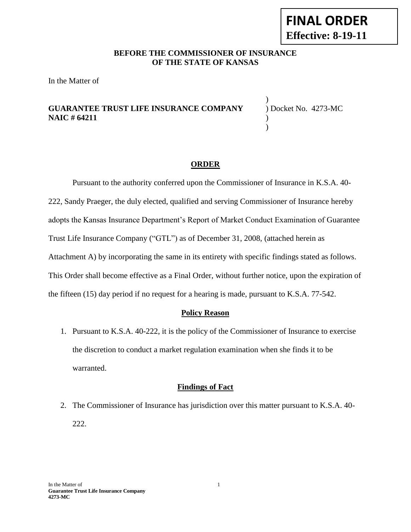#### **BEFORE THE COMMISSIONER OF INSURANCE OF THE STATE OF KANSAS**

In the Matter of

## **GUARANTEE TRUST LIFE INSURANCE COMPANY** ) Docket No. 4273-MC **NAIC # 64211** )

) )

#### **ORDER**

Pursuant to the authority conferred upon the Commissioner of Insurance in K.S.A. 40- 222, Sandy Praeger, the duly elected, qualified and serving Commissioner of Insurance hereby adopts the Kansas Insurance Department's Report of Market Conduct Examination of Guarantee Trust Life Insurance Company ("GTL") as of December 31, 2008, (attached herein as Attachment A) by incorporating the same in its entirety with specific findings stated as follows. This Order shall become effective as a Final Order, without further notice, upon the expiration of the fifteen (15) day period if no request for a hearing is made, pursuant to K.S.A. 77-542.

#### **Policy Reason**

1. Pursuant to K.S.A. 40-222, it is the policy of the Commissioner of Insurance to exercise the discretion to conduct a market regulation examination when she finds it to be warranted.

#### **Findings of Fact**

2. The Commissioner of Insurance has jurisdiction over this matter pursuant to K.S.A. 40- 222.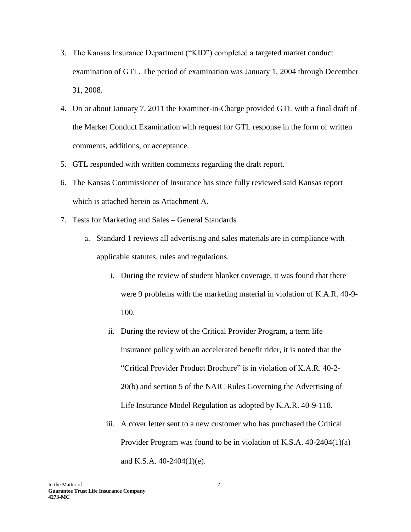- 3. The Kansas Insurance Department ("KID") completed a targeted market conduct examination of GTL. The period of examination was January 1, 2004 through December 31, 2008.
- 4. On or about January 7, 2011 the Examiner-in-Charge provided GTL with a final draft of the Market Conduct Examination with request for GTL response in the form of written comments, additions, or acceptance.
- 5. GTL responded with written comments regarding the draft report.
- 6. The Kansas Commissioner of Insurance has since fully reviewed said Kansas report which is attached herein as Attachment A.
- 7. Tests for Marketing and Sales General Standards
	- a. Standard 1 reviews all advertising and sales materials are in compliance with applicable statutes, rules and regulations.
		- i. During the review of student blanket coverage, it was found that there were 9 problems with the marketing material in violation of K.A.R. 40-9- 100.
		- ii. During the review of the Critical Provider Program, a term life insurance policy with an accelerated benefit rider, it is noted that the "Critical Provider Product Brochure" is in violation of K.A.R. 40-2- 20(b) and section 5 of the NAIC Rules Governing the Advertising of Life Insurance Model Regulation as adopted by K.A.R. 40-9-118.
		- iii. A cover letter sent to a new customer who has purchased the Critical Provider Program was found to be in violation of K.S.A. 40-2404(1)(a) and K.S.A. 40-2404(1)(e).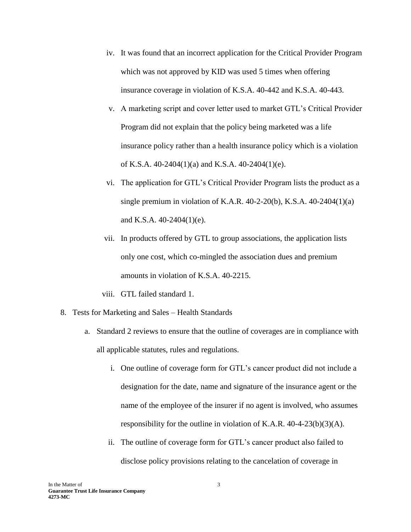- iv. It was found that an incorrect application for the Critical Provider Program which was not approved by KID was used 5 times when offering insurance coverage in violation of K.S.A. 40-442 and K.S.A. 40-443.
- v. A marketing script and cover letter used to market GTL's Critical Provider Program did not explain that the policy being marketed was a life insurance policy rather than a health insurance policy which is a violation of K.S.A. 40-2404(1)(a) and K.S.A. 40-2404(1)(e).
- vi. The application for GTL's Critical Provider Program lists the product as a single premium in violation of K.A.R. 40-2-20(b), K.S.A. 40-2404(1)(a) and K.S.A. 40-2404(1)(e).
- vii. In products offered by GTL to group associations, the application lists only one cost, which co-mingled the association dues and premium amounts in violation of K.S.A. 40-2215.
- viii. GTL failed standard 1.
- 8. Tests for Marketing and Sales Health Standards
	- a. Standard 2 reviews to ensure that the outline of coverages are in compliance with all applicable statutes, rules and regulations.
		- i. One outline of coverage form for GTL's cancer product did not include a designation for the date, name and signature of the insurance agent or the name of the employee of the insurer if no agent is involved, who assumes responsibility for the outline in violation of K.A.R.  $40-4-23(b)(3)(A)$ .
		- ii. The outline of coverage form for GTL's cancer product also failed to disclose policy provisions relating to the cancelation of coverage in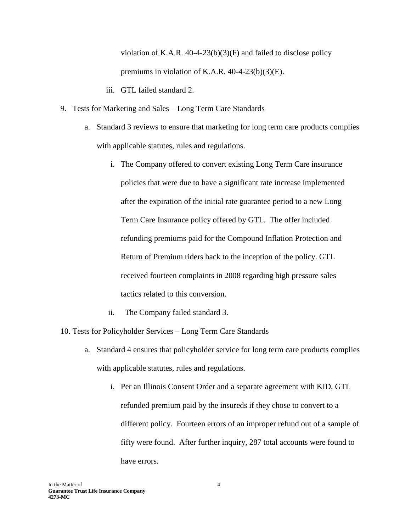violation of K.A.R.  $40-4-23(b)(3)(F)$  and failed to disclose policy premiums in violation of K.A.R. 40-4-23(b)(3)(E).

- iii. GTL failed standard 2.
- 9. Tests for Marketing and Sales Long Term Care Standards
	- a. Standard 3 reviews to ensure that marketing for long term care products complies with applicable statutes, rules and regulations.
		- i. The Company offered to convert existing Long Term Care insurance policies that were due to have a significant rate increase implemented after the expiration of the initial rate guarantee period to a new Long Term Care Insurance policy offered by GTL. The offer included refunding premiums paid for the Compound Inflation Protection and Return of Premium riders back to the inception of the policy. GTL received fourteen complaints in 2008 regarding high pressure sales tactics related to this conversion.
		- ii. The Company failed standard 3.
- 10. Tests for Policyholder Services Long Term Care Standards
	- a. Standard 4 ensures that policyholder service for long term care products complies with applicable statutes, rules and regulations.
		- i. Per an Illinois Consent Order and a separate agreement with KID, GTL refunded premium paid by the insureds if they chose to convert to a different policy. Fourteen errors of an improper refund out of a sample of fifty were found. After further inquiry, 287 total accounts were found to have errors.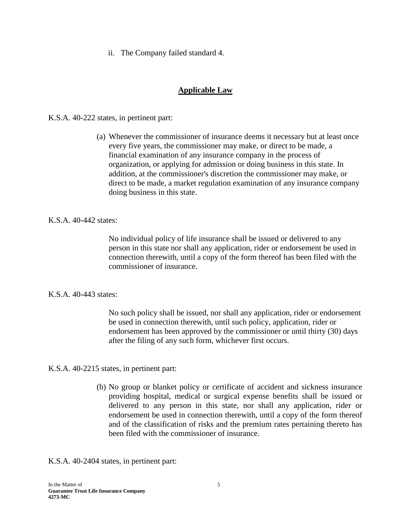ii. The Company failed standard 4.

# **Applicable Law**

K.S.A. 40-222 states, in pertinent part:

(a) Whenever the commissioner of insurance deems it necessary but at least once every five years, the commissioner may make, or direct to be made, a financial examination of any insurance company in the process of organization, or applying for admission or doing business in this state. In addition, at the commissioner's discretion the commissioner may make, or direct to be made, a market regulation examination of any insurance company doing business in this state.

### K.S.A. 40-442 states:

No individual policy of life insurance shall be issued or delivered to any person in this state nor shall any application, rider or endorsement be used in connection therewith, until a copy of the form thereof has been filed with the commissioner of insurance.

#### K.S.A. 40-443 states:

No such policy shall be issued, nor shall any application, rider or endorsement be used in connection therewith, until such policy, application, rider or endorsement has been approved by the commissioner or until thirty (30) days after the filing of any such form, whichever first occurs.

K.S.A. 40-2215 states, in pertinent part:

(b) No group or blanket policy or certificate of accident and sickness insurance providing hospital, medical or surgical expense benefits shall be issued or delivered to any person in this state, nor shall any application, rider or endorsement be used in connection therewith, until a copy of the form thereof and of the classification of risks and the premium rates pertaining thereto has been filed with the commissioner of insurance.

K.S.A. 40-2404 states, in pertinent part: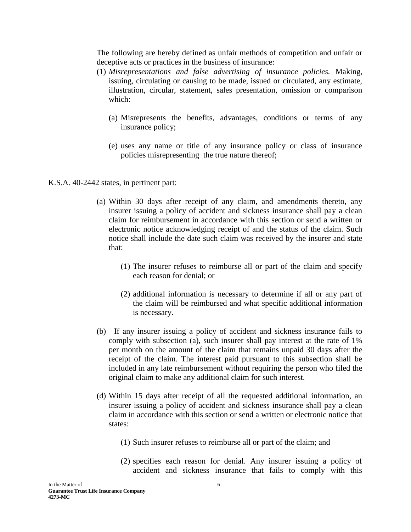The following are hereby defined as unfair methods of competition and unfair or deceptive acts or practices in the business of insurance:

- (1) *Misrepresentations and false advertising of insurance policies.* Making, issuing, circulating or causing to be made, issued or circulated, any estimate, illustration, circular, statement, sales presentation, omission or comparison which:
	- (a) Misrepresents the benefits, advantages, conditions or terms of any insurance policy;
	- (e) uses any name or title of any insurance policy or class of insurance policies misrepresenting the true nature thereof;

### K.S.A. 40-2442 states, in pertinent part:

- (a) Within 30 days after receipt of any claim, and amendments thereto, any insurer issuing a policy of accident and sickness insurance shall pay a clean claim for reimbursement in accordance with this section or send a written or electronic notice acknowledging receipt of and the status of the claim. Such notice shall include the date such claim was received by the insurer and state that:
	- (1) The insurer refuses to reimburse all or part of the claim and specify each reason for denial; or
	- (2) additional information is necessary to determine if all or any part of the claim will be reimbursed and what specific additional information is necessary.
- (b) If any insurer issuing a policy of accident and sickness insurance fails to comply with subsection (a), such insurer shall pay interest at the rate of 1% per month on the amount of the claim that remains unpaid 30 days after the receipt of the claim. The interest paid pursuant to this subsection shall be included in any late reimbursement without requiring the person who filed the original claim to make any additional claim for such interest.
- (d) Within 15 days after receipt of all the requested additional information, an insurer issuing a policy of accident and sickness insurance shall pay a clean claim in accordance with this section or send a written or electronic notice that states:
	- (1) Such insurer refuses to reimburse all or part of the claim; and
	- (2) specifies each reason for denial. Any insurer issuing a policy of accident and sickness insurance that fails to comply with this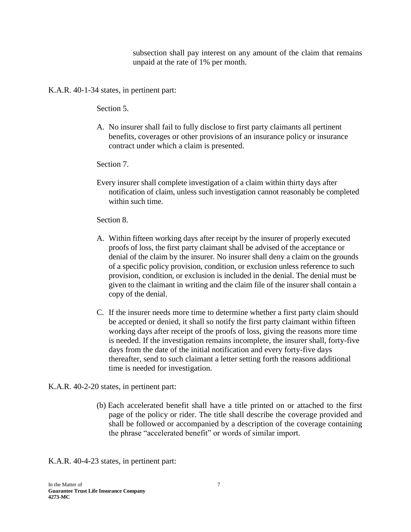subsection shall pay interest on any amount of the claim that remains unpaid at the rate of 1% per month.

K.A.R. 40-1-34 states, in pertinent part:

Section 5.

A. No insurer shall fail to fully disclose to first party claimants all pertinent benefits, coverages or other provisions of an insurance policy or insurance contract under which a claim is presented.

Section 7.

Every insurer shall complete investigation of a claim within thirty days after notification of claim, unless such investigation cannot reasonably be completed within such time.

### Section 8.

- A. Within fifteen working days after receipt by the insurer of properly executed proofs of loss, the first party claimant shall be advised of the acceptance or denial of the claim by the insurer. No insurer shall deny a claim on the grounds of a specific policy provision, condition, or exclusion unless reference to such provision, condition, or exclusion is included in the denial. The denial must be given to the claimant in writing and the claim file of the insurer shall contain a copy of the denial.
- C. If the insurer needs more time to determine whether a first party claim should be accepted or denied, it shall so notify the first party claimant within fifteen working days after receipt of the proofs of loss, giving the reasons more time is needed. If the investigation remains incomplete, the insurer shall, forty-five days from the date of the initial notification and every forty-five days thereafter, send to such claimant a letter setting forth the reasons additional time is needed for investigation.

# K.A.R. 40-2-20 states, in pertinent part:

(b) Each accelerated benefit shall have a title printed on or attached to the first page of the policy or rider. The title shall describe the coverage provided and shall be followed or accompanied by a description of the coverage containing the phrase "accelerated benefit" or words of similar import.

K.A.R. 40-4-23 states, in pertinent part: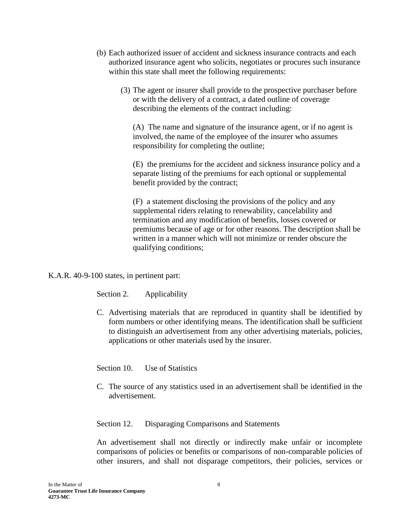- (b) Each authorized issuer of accident and sickness insurance contracts and each authorized insurance agent who solicits, negotiates or procures such insurance within this state shall meet the following requirements:
	- (3) The agent or insurer shall provide to the prospective purchaser before or with the delivery of a contract, a dated outline of coverage describing the elements of the contract including:

(A) The name and signature of the insurance agent, or if no agent is involved, the name of the employee of the insurer who assumes responsibility for completing the outline;

(E) the premiums for the accident and sickness insurance policy and a separate listing of the premiums for each optional or supplemental benefit provided by the contract;

(F) a statement disclosing the provisions of the policy and any supplemental riders relating to renewability, cancelability and termination and any modification of benefits, losses covered or premiums because of age or for other reasons. The description shall be written in a manner which will not minimize or render obscure the qualifying conditions;

K.A.R. 40-9-100 states, in pertinent part:

Section 2. Applicability

C. Advertising materials that are reproduced in quantity shall be identified by form numbers or other identifying means. The identification shall be sufficient to distinguish an advertisement from any other advertising materials, policies, applications or other materials used by the insurer.

Section 10. Use of Statistics

C. The source of any statistics used in an advertisement shall be identified in the advertisement.

Section 12. Disparaging Comparisons and Statements

An advertisement shall not directly or indirectly make unfair or incomplete comparisons of policies or benefits or comparisons of non-comparable policies of other insurers, and shall not disparage competitors, their policies, services or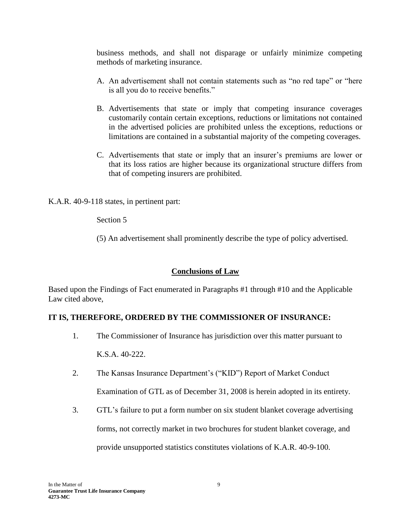business methods, and shall not disparage or unfairly minimize competing methods of marketing insurance.

- A. An advertisement shall not contain statements such as "no red tape" or "here is all you do to receive benefits."
- B. Advertisements that state or imply that competing insurance coverages customarily contain certain exceptions, reductions or limitations not contained in the advertised policies are prohibited unless the exceptions, reductions or limitations are contained in a substantial majority of the competing coverages.
- C. Advertisements that state or imply that an insurer's premiums are lower or that its loss ratios are higher because its organizational structure differs from that of competing insurers are prohibited.

K.A.R. 40-9-118 states, in pertinent part:

Section 5

(5) An advertisement shall prominently describe the type of policy advertised.

# **Conclusions of Law**

Based upon the Findings of Fact enumerated in Paragraphs #1 through #10 and the Applicable Law cited above,

# **IT IS, THEREFORE, ORDERED BY THE COMMISSIONER OF INSURANCE:**

- 1. The Commissioner of Insurance has jurisdiction over this matter pursuant to K.S.A. 40-222.
- 2. The Kansas Insurance Department's ("KID") Report of Market Conduct Examination of GTL as of December 31, 2008 is herein adopted in its entirety.
- 3. GTL's failure to put a form number on six student blanket coverage advertising forms, not correctly market in two brochures for student blanket coverage, and provide unsupported statistics constitutes violations of K.A.R. 40-9-100.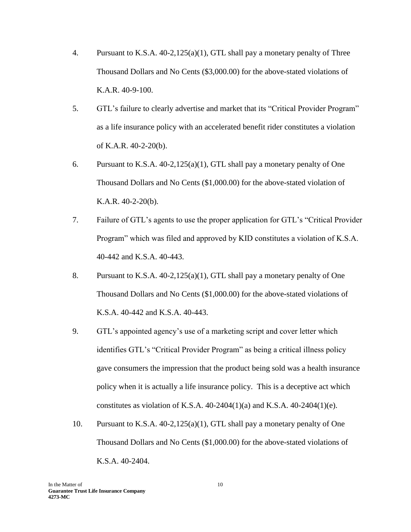- 4. Pursuant to K.S.A. 40-2,125(a)(1), GTL shall pay a monetary penalty of Three Thousand Dollars and No Cents (\$3,000.00) for the above-stated violations of K.A.R. 40-9-100.
- 5. GTL's failure to clearly advertise and market that its "Critical Provider Program" as a life insurance policy with an accelerated benefit rider constitutes a violation of K.A.R. 40-2-20(b).
- 6. Pursuant to K.S.A. 40-2,125(a)(1), GTL shall pay a monetary penalty of One Thousand Dollars and No Cents (\$1,000.00) for the above-stated violation of K.A.R. 40-2-20(b).
- 7. Failure of GTL's agents to use the proper application for GTL's "Critical Provider Program" which was filed and approved by KID constitutes a violation of K.S.A. 40-442 and K.S.A. 40-443.
- 8. Pursuant to K.S.A. 40-2,125(a)(1), GTL shall pay a monetary penalty of One Thousand Dollars and No Cents (\$1,000.00) for the above-stated violations of K.S.A. 40-442 and K.S.A. 40-443.
- 9. GTL's appointed agency's use of a marketing script and cover letter which identifies GTL's "Critical Provider Program" as being a critical illness policy gave consumers the impression that the product being sold was a health insurance policy when it is actually a life insurance policy. This is a deceptive act which constitutes as violation of K.S.A.  $40-2404(1)(a)$  and K.S.A.  $40-2404(1)(e)$ .
- 10. Pursuant to K.S.A. 40-2,125(a)(1), GTL shall pay a monetary penalty of One Thousand Dollars and No Cents (\$1,000.00) for the above-stated violations of K.S.A. 40-2404.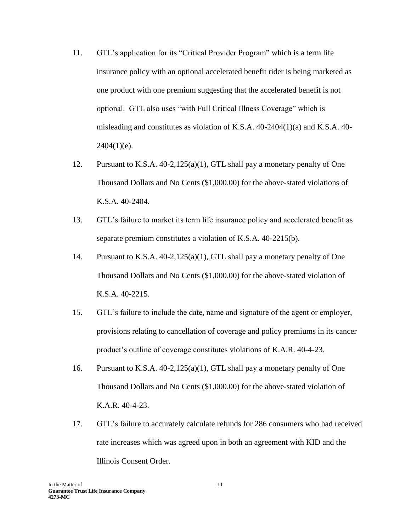- 11. GTL's application for its "Critical Provider Program" which is a term life insurance policy with an optional accelerated benefit rider is being marketed as one product with one premium suggesting that the accelerated benefit is not optional. GTL also uses "with Full Critical Illness Coverage" which is misleading and constitutes as violation of K.S.A.  $40-2404(1)(a)$  and K.S.A.  $40 2404(1)(e)$ .
- 12. Pursuant to K.S.A. 40-2,125(a)(1), GTL shall pay a monetary penalty of One Thousand Dollars and No Cents (\$1,000.00) for the above-stated violations of K.S.A. 40-2404.
- 13. GTL's failure to market its term life insurance policy and accelerated benefit as separate premium constitutes a violation of K.S.A. 40-2215(b).
- 14. Pursuant to K.S.A. 40-2,125(a)(1), GTL shall pay a monetary penalty of One Thousand Dollars and No Cents (\$1,000.00) for the above-stated violation of K.S.A. 40-2215.
- 15. GTL's failure to include the date, name and signature of the agent or employer, provisions relating to cancellation of coverage and policy premiums in its cancer product's outline of coverage constitutes violations of K.A.R. 40-4-23.
- 16. Pursuant to K.S.A. 40-2,125(a)(1), GTL shall pay a monetary penalty of One Thousand Dollars and No Cents (\$1,000.00) for the above-stated violation of K.A.R. 40-4-23.
- 17. GTL's failure to accurately calculate refunds for 286 consumers who had received rate increases which was agreed upon in both an agreement with KID and the Illinois Consent Order.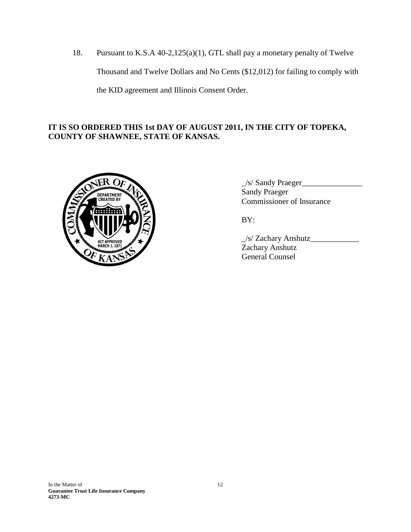18. Pursuant to K.S.A 40-2,125(a)(1), GTL shall pay a monetary penalty of Twelve Thousand and Twelve Dollars and No Cents (\$12,012) for failing to comply with the KID agreement and Illinois Consent Order.

# **IT IS SO ORDERED THIS 1st DAY OF AUGUST 2011, IN THE CITY OF TOPEKA, COUNTY OF SHAWNEE, STATE OF KANSAS.**



\_/s/ Sandy Praeger\_\_\_\_\_\_\_\_\_\_\_\_\_\_\_ Sandy Praeger Commissioner of Insurance

BY:

\_/s/ Zachary Anshutz\_\_\_\_\_\_\_\_\_\_\_\_ Zachary Anshutz General Counsel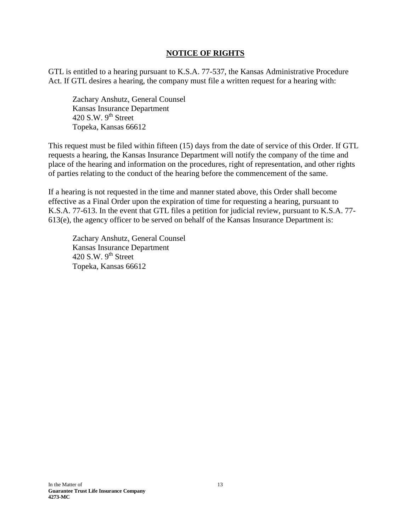### **NOTICE OF RIGHTS**

GTL is entitled to a hearing pursuant to K.S.A. 77-537, the Kansas Administrative Procedure Act. If GTL desires a hearing, the company must file a written request for a hearing with:

Zachary Anshutz, General Counsel Kansas Insurance Department 420 S.W.  $9<sup>th</sup>$  Street Topeka, Kansas 66612

This request must be filed within fifteen (15) days from the date of service of this Order. If GTL requests a hearing, the Kansas Insurance Department will notify the company of the time and place of the hearing and information on the procedures, right of representation, and other rights of parties relating to the conduct of the hearing before the commencement of the same.

If a hearing is not requested in the time and manner stated above, this Order shall become effective as a Final Order upon the expiration of time for requesting a hearing, pursuant to K.S.A. 77-613. In the event that GTL files a petition for judicial review, pursuant to K.S.A. 77- 613(e), the agency officer to be served on behalf of the Kansas Insurance Department is:

Zachary Anshutz, General Counsel Kansas Insurance Department 420 S.W.  $9^{th}$  Street Topeka, Kansas 66612